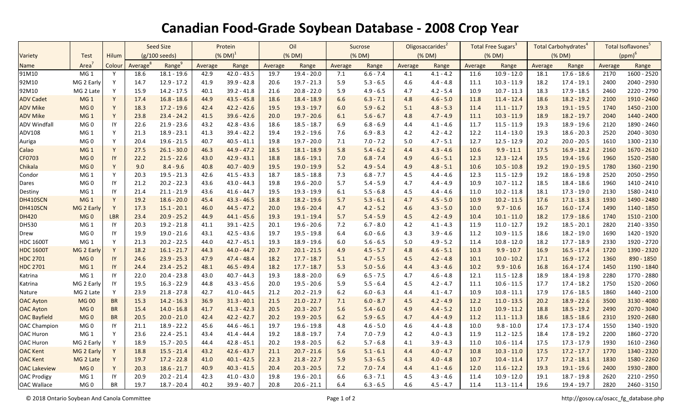## **Canadian Food-Grade Soybean Database - 2008 Crop Year**

|                     |                 |                        | <b>Seed Size</b>        |               | Protein               |               | Oil     |               | Sucrose |             | Oligosaccarides <sup>2</sup> |             | Total Free Sugars <sup>3</sup> |               | Total Carbohydrates <sup>4</sup> |               | Total Isoflavones <sup>5</sup> |               |
|---------------------|-----------------|------------------------|-------------------------|---------------|-----------------------|---------------|---------|---------------|---------|-------------|------------------------------|-------------|--------------------------------|---------------|----------------------------------|---------------|--------------------------------|---------------|
| Variety             | Test            | <b>Hilum</b>           | $(g/100 \text{ seeds})$ |               | $(N$ DM) <sup>1</sup> |               | (% DM)  |               | (% DM)  |             | (% DM)                       |             | (% DM)                         |               | (% DM)                           |               | $(ppm)^6$                      |               |
| Name                | Area            | Colour                 | Average <sup>8</sup>    | Range         | Average               | Range         | Average | Range         | Average | Range       | Average                      | Range       | Average                        | Range         | Average                          | Range         | Average                        | Range         |
| 91M10               | MG <sub>1</sub> | Y                      | 18.6                    | $18.1 - 19.6$ | 42.9                  | $42.0 - 43.5$ | 19.7    | $19.4 - 20.0$ | 7.1     | $6.6 - 7.4$ | 4.1                          | $4.1 - 4.2$ | 11.6                           | $10.9 - 12.0$ | 18.1                             | $17.6 - 18.6$ | 2170                           | 1600 - 2520   |
| 92M10               | MG 2 Early      | Y                      | 14.7                    | $12.9 - 17.2$ | 41.9                  | $39.9 - 42.8$ | 20.6    | $19.7 - 21.3$ | 5.9     | $5.3 - 6.5$ | 4.6                          | $4.4 - 4.8$ | 11.1                           | $10.3 - 11.9$ | 18.2                             | $17.4 - 19.1$ | 2400                           | 2040 - 2930   |
| 92M10               | MG 2 Late       | Y                      | 15.9                    | $14.2 - 17.5$ | 40.1                  | $39.2 - 41.8$ | 21.6    | $20.8 - 22.0$ | 5.9     | $4.9 - 6.5$ | 4.7                          | $4.2 - 5.4$ | 10.9                           | $10.7 - 11.3$ | 18.3                             | $17.9 - 18.5$ | 2460                           | 2220 - 2790   |
| <b>ADV Cadet</b>    | MG <sub>1</sub> | Y                      | 17.4                    | $16.8 - 18.6$ | 44.9                  | $43.5 - 45.8$ | 18.6    | $18.4 - 18.9$ | 6.6     | $6.3 - 7.1$ | 4.8                          | $4.6 - 5.0$ | 11.8                           | $11.4 - 12.4$ | 18.6                             | $18.2 - 19.2$ | 2100                           | 1910 - 2460   |
| <b>ADV Mike</b>     | MG <sub>0</sub> | Y                      | 18.3                    | $17.2 - 19.6$ | 42.4                  | $42.2 - 42.6$ | 19.5    | $19.3 - 19.7$ | 6.0     | $5.9 - 6.2$ | 5.1                          | $4.8 - 5.3$ | 11.4                           | $11.1 - 11.7$ | 19.3                             | $19.1 - 19.5$ | 1740                           | 1450 - 2100   |
| <b>ADV Mike</b>     | MG <sub>1</sub> | Y                      | 23.8                    | $23.4 - 24.2$ | 41.5                  | $39.6 - 42.6$ | 20.0    | $19.7 - 20.6$ | 6.1     | $5.6 - 6.7$ | 4.8                          | $4.7 - 4.9$ | 11.1                           | $10.3 - 11.9$ | 18.9                             | $18.2 - 19.7$ | 2040                           | 1440 - 2400   |
| <b>ADV Windfall</b> | MG <sub>0</sub> | IY                     | 22.6                    | $21.9 - 23.6$ | 43.2                  | $42.8 - 43.6$ | 18.6    | $18.5 - 18.7$ | 6.9     | $6.8 - 6.9$ | 4.4                          | $4.1 - 4.6$ | 11.7                           | $11.5 - 11.9$ | 19.3                             | 18.9 - 19.6   | 2120                           | 1890 - 2460   |
| ADV108              | MG <sub>1</sub> | Y                      | 21.3                    | $18.9 - 23.1$ | 41.3                  | $39.4 - 42.2$ | 19.4    | $19.2 - 19.6$ | 7.6     | $6.9 - 8.3$ | 4.2                          | $4.2 - 4.2$ | 12.2                           | $11.4 - 13.0$ | 19.3                             | $18.6 - 20.3$ | 2520                           | 2040 - 3030   |
| Auriga              | MG <sub>0</sub> | Y                      | 20.4                    | $19.6 - 21.5$ | 40.7                  | $40.5 - 41.1$ | 19.8    | $19.7 - 20.0$ | $7.1$   | $7.0 - 7.2$ | 5.0                          | $4.7 - 5.1$ | 12.7                           | $12.5 - 12.9$ | 20.2                             | $20.0 - 20.5$ | 1610                           | 1300 - 2130   |
| Calao               | MG <sub>1</sub> | Y                      | 27.5                    | $26.1 - 30.0$ | 46.3                  | $44.9 - 47.2$ | 18.5    | $18.1 - 18.9$ | 5.8     | $5.4 - 6.2$ | 4.4                          | $4.3 - 4.6$ | 10.6                           | $9.9 - 11.1$  | 17.5                             | $16.9 - 18.2$ | 2160                           | $1670 - 2610$ |
| CF0703              | MG <sub>0</sub> | $\mathsf{I}\mathsf{Y}$ | 22.2                    | $21.5 - 22.6$ | 43.0                  | $42.9 - 43.1$ | 18.8    | $18.6 - 19.1$ | 7.0     | $6.8 - 7.4$ | 4.9                          | $4.6 - 5.1$ | 12.3                           | $12.3 - 12.4$ | 19.5                             | $19.4 - 19.6$ | 1960                           | 1520 - 2580   |
| Chikala             | MG <sub>0</sub> | Y                      | 9.0                     | $8.4 - 9.6$   | 40.8                  | $40.7 - 40.9$ | 19.5    | $19.0 - 19.9$ | 5.2     | $4.9 - 5.4$ | 4.9                          | $4.8 - 5.1$ | 10.6                           | $10.5 - 10.8$ | 19.2                             | $19.0 - 19.5$ | 1780                           | 1360 - 2190   |
| Condor              | MG <sub>1</sub> | Y                      | 20.3                    | $19.5 - 21.3$ | 42.6                  | $41.5 - 43.3$ | 18.7    | $18.5 - 18.8$ | 7.3     | $6.8 - 7.7$ | 4.5                          | $4.4 - 4.6$ | 12.3                           | $11.5 - 12.9$ | 19.2                             | $18.6 - 19.8$ | 2520                           | 2050 - 2950   |
| Dares               | MG <sub>0</sub> | IY                     | 21.2                    | $20.2 - 22.3$ | 43.6                  | $43.0 - 44.3$ | 19.8    | $19.6 - 20.0$ | 5.7     | $5.4 - 5.9$ | 4.7                          | $4.4 - 4.9$ | 10.9                           | $10.7 - 11.2$ | 18.5                             | $18.4 - 18.6$ | 1960                           | 1410 - 2410   |
| Destiny             | MG <sub>1</sub> | IY                     | 21.4                    | $21.1 - 21.9$ | 43.6                  | $41.6 - 44.7$ | 19.5    | $19.3 - 19.9$ | 6.1     | $5.5 - 6.8$ | 4.5                          | $4.4 - 4.6$ | 11.0                           | $10.2 - 11.8$ | 18.1                             | 17.3 - 19.0   | 2130                           | 1580 - 2410   |
| DH410SCN            | MG <sub>1</sub> | Y                      | 19.2                    | $18.6 - 20.0$ | 45.4                  | $43.3 - 46.5$ | 18.8    | $18.2 - 19.6$ | 5.7     | $5.3 - 6.1$ | 4.7                          | $4.5 - 5.0$ | 10.9                           | $10.2 - 11.5$ | 17.6                             | $17.1 - 18.3$ | 1930                           | 1490 - 2480   |
| DH410SCN            | MG 2 Early      | Y                      | 17.3                    | $15.1 - 20.1$ | 46.0                  | $44.5 - 47.2$ | 20.0    | $19.6 - 20.4$ | 4.7     | $4.2 - 5.2$ | 4.6                          | $4.3 - 5.0$ | 10.0                           | $9.7 - 10.6$  | 16.7                             | $16.0 - 17.4$ | 1490                           | 1140 - 1850   |
| <b>DH420</b>        | MG <sub>0</sub> | <b>LBR</b>             | 23.4                    | $20.9 - 25.2$ | 44.9                  | $44.1 - 45.6$ | 19.3    | $19.1 - 19.4$ | 5.7     | $5.4 - 5.9$ | 4.5                          | $4.2 - 4.9$ | 10.4                           | $10.1 - 11.0$ | 18.2                             | $17.9 - 18.6$ | 1740                           | 1510 - 2100   |
| DH530               | MG <sub>1</sub> | IY                     | 20.3                    | $19.2 - 21.8$ | 41.1                  | $39.1 - 42.5$ | 20.1    | $19.6 - 20.6$ | 7.2     | $6.7 - 8.0$ | 4.2                          | $4.1 - 4.3$ | 11.9                           | $11.0 - 12.7$ | 19.2                             | $18.5 - 20.1$ | 2820                           | 2140 - 3350   |
| Drew                | MG <sub>0</sub> | IY                     | 19.9                    | $19.0 - 21.6$ | 43.1                  | $42.5 - 43.6$ | 19.7    | $19.5 - 19.8$ | 6.4     | $6.0 - 6.6$ | 4.3                          | $3.9 - 4.6$ | 11.2                           | $10.9 - 11.5$ | 18.6                             | 18.2 - 19.0   | 1690                           | 1420 - 1920   |
| <b>HDC 1600T</b>    | MG <sub>1</sub> | Y                      | 21.3                    | $20.2 - 22.5$ | 44.0                  | $42.7 - 45.1$ | 19.3    | $18.9 - 19.6$ | 6.0     | $5.6 - 6.5$ | 5.0                          | $4.9 - 5.2$ | 11.4                           | $10.8 - 12.0$ | 18.2                             | $17.7 - 18.9$ | 2330                           | 1920 - 2720   |
| <b>HDC 1600T</b>    | MG 2 Early      | Y                      | 18.2                    | $16.1 - 21.7$ | 44.3                  | $44.0 - 44.7$ | 20.7    | $20.1 - 21.5$ | 4.9     | $4.5 - 5.7$ | 4.8                          | $4.6 - 5.1$ | 10.3                           | $9.9 - 10.7$  | 16.9                             | $16.5 - 17.4$ | 1720                           | 1390 - 2320   |
| <b>HDC 2701</b>     | MG <sub>0</sub> | IY                     | 24.6                    | $23.9 - 25.3$ | 47.9                  | $47.4 - 48.4$ | 18.2    | $17.7 - 18.7$ | 5.1     | $4.7 - 5.5$ | 4.5                          | $4.2 - 4.8$ | 10.1                           | $10.0 - 10.2$ | 17.1                             | $16.9 - 17.2$ | 1360                           | 890 - 1850    |
| <b>HDC 2701</b>     | MG <sub>1</sub> | $\mathsf{I}\mathsf{Y}$ | 24.4                    | $23.4 - 25.2$ | 48.1                  | $46.5 - 49.4$ | 18.2    | $17.7 - 18.7$ | 5.3     | $5.0 - 5.6$ | 4.4                          | $4.3 - 4.6$ | 10.2                           | $9.9 - 10.6$  | 16.8                             | $16.4 - 17.4$ | 1450                           | 1190 - 1840   |
| Katrina             | MG <sub>1</sub> | IY                     | 22.0                    | $20.4 - 23.8$ | 43.0                  | $40.7 - 44.3$ | 19.3    | $18.8 - 20.0$ | 6.9     | $6.5 - 7.5$ | 4.7                          | $4.6 - 4.8$ | 12.1                           | $11.5 - 12.8$ | 18.9                             | $18.4 - 19.8$ | 2280                           | 1770 - 2880   |
| Katrina             | MG 2 Early      | IY                     | 19.5                    | $16.3 - 22.9$ | 44.8                  | $43.3 - 45.6$ | 20.0    | $19.5 - 20.6$ | 5.9     | $5.5 - 6.4$ | 4.5                          | $4.2 - 4.7$ | 11.1                           | $10.6 - 11.5$ | 17.7                             | $17.4 - 18.2$ | 1750                           | 1520 - 2060   |
| Nature              | MG 2 Late       | Y                      | 23.9                    | $21.8 - 27.8$ | 42.7                  | $41.0 - 44.5$ | 21.2    | $20.2 - 21.9$ | $6.2\,$ | $6.0 - 6.3$ | 4.4                          | $4.1 - 4.7$ | 10.9                           | $10.8 - 11.1$ | 17.9                             | $17.6 - 18.5$ | 1860                           | 1440 - 2100   |
| <b>OAC Ayton</b>    | <b>MG00</b>     | <b>BR</b>              | 15.3                    | $14.2 - 16.3$ | 36.9                  | $31.3 - 40.1$ | 21.5    | $21.0 - 22.7$ | 7.1     | $6.0 - 8.7$ | 4.5                          | $4.2 - 4.9$ | 12.2                           | $11.0 - 13.5$ | 20.2                             | $18.9 - 22.6$ | 3500                           | 3130 - 4080   |
| <b>OAC Ayton</b>    | MG <sub>0</sub> | <b>BR</b>              | 15.4                    | $14.0 - 16.8$ | 41.7                  | $41.3 - 42.3$ | 20.5    | $20.3 - 20.7$ | 5.6     | $5.4 - 6.0$ | 4.9                          | $4.4 - 5.2$ | 11.0                           | $10.9 - 11.2$ | 18.8                             | $18.5 - 19.2$ | 2490                           | 2070 - 3040   |
| <b>OAC Bayfield</b> | MG <sub>0</sub> | <b>BR</b>              | 20.5                    | $20.0 - 21.0$ | 42.4                  | $42.2 - 42.7$ | 20.2    | $19.9 - 20.5$ | 6.2     | $5.9 - 6.5$ | 4.7                          | $4.4 - 4.9$ | 11.2                           | $11.1 - 11.3$ | 18.6                             | $18.5 - 18.6$ | 2310                           | 1920 - 2680   |
| <b>OAC Champion</b> | MG <sub>0</sub> | IY                     | 21.1                    | $18.9 - 22.2$ | 45.6                  | $44.6 - 46.1$ | 19.7    | $19.6 - 19.8$ | 4.8     | $4.6 - 5.0$ | 4.6                          | $4.4 - 4.8$ | 10.0                           | $9.8 - 10.0$  | 17.4                             | $17.3 - 17.4$ | 1550                           | 1340 - 1920   |
| <b>OAC Huron</b>    | MG <sub>1</sub> | Y                      | 23.6                    | $22.4 - 25.1$ | 43.4                  | $41.4 - 44.4$ | 19.2    | $18.8 - 19.7$ | 7.4     | $7.0 - 7.9$ | 4.2                          | $4.0 - 4.3$ | 11.9                           | $11.2 - 12.5$ | 18.4                             | $17.8 - 19.2$ | 2200                           | 1860 - 2720   |
| <b>OAC Huron</b>    | MG 2 Early      | Y                      | 18.9                    | $15.7 - 20.5$ | 44.4                  | $42.8 - 45.1$ | 20.2    | $19.8 - 20.5$ | $6.2\,$ | $5.7 - 6.8$ | 4.1                          | $3.9 - 4.3$ | 11.0                           | $10.6 - 11.4$ | 17.5                             | $17.3 - 17.9$ | 1930                           | 1610 - 2360   |
| <b>OAC Kent</b>     | MG 2 Early      | Y                      | 18.8                    | $15.5 - 21.4$ | 43.2                  | $42.6 - 43.7$ | 21.1    | $20.7 - 21.6$ | 5.6     | $5.1 - 6.1$ | 4.4                          | $4.0 - 4.7$ | 10.8                           | $10.3 - 11.0$ | 17.5                             | $17.2 - 17.7$ | 1770                           | 1340 - 2320   |
| <b>OAC Kent</b>     | MG 2 Late       | Y                      | 19.7                    | $17.2 - 22.8$ | 41.0                  | $40.1 - 42.5$ | 22.3    | $21.8 - 22.7$ | 5.9     | $5.3 - 6.5$ | 4.3                          | $4.0 - 4.8$ | 10.7                           | $10.4 - 11.4$ | 17.7                             | $17.2 - 18.1$ | 1830                           | 1580 - 2260   |
| <b>OAC Lakeview</b> | MG <sub>0</sub> | Y                      | 20.3                    | $18.6 - 21.7$ | 40.9                  | $40.3 - 41.5$ | 20.4    | $20.3 - 20.5$ | 7.2     | $7.0 - 7.4$ | 4.4                          | $4.1 - 4.6$ | 12.0                           | $11.6 - 12.2$ | 19.3                             | $19.1 - 19.6$ | 2400                           | 1930 - 2800   |
| <b>OAC Prodigy</b>  | MG <sub>1</sub> | IY                     | 20.9                    | $20.2 - 21.4$ | 42.3                  | $41.0 - 43.0$ | 19.8    | $19.6 - 20.1$ | 6.6     | $6.3 - 7.1$ | 4.5                          | $4.3 - 4.6$ | 11.4                           | $10.9 - 12.0$ | 19.1                             | $18.7 - 19.8$ | 2620                           | 2210 - 2950   |
| <b>OAC Wallace</b>  | MG <sub>0</sub> | <b>BR</b>              | 19.7                    | $18.7 - 20.4$ | 40.2                  | $39.9 - 40.7$ | 20.8    | $20.6 - 21.1$ | 6.4     | $6.3 - 6.5$ | 4.6                          | $4.5 - 4.7$ | 11.4                           | $11.3 - 11.4$ | 19.6                             | $19.4 - 19.7$ | 2820                           | 2460 - 3150   |